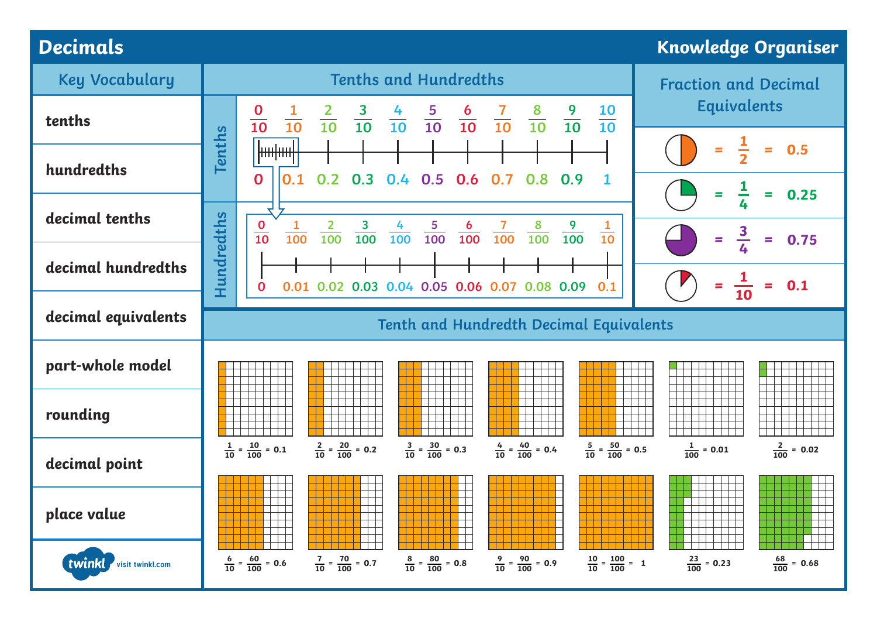## **Decimals Knowledge Organiser**